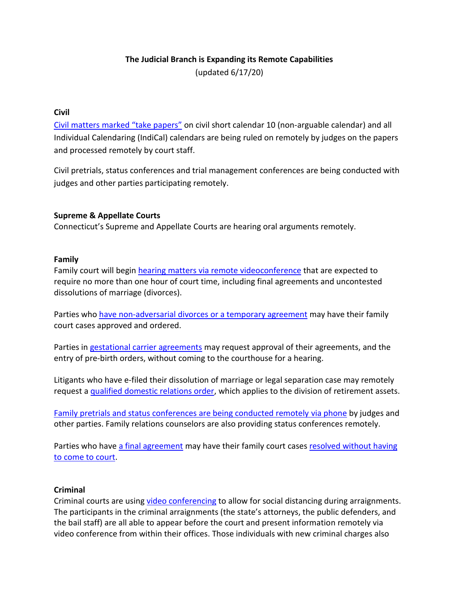# **The Judicial Branch is Expanding its Remote Capabilities**

(updated 6/17/20)

## **Civil**

Civil matters [marked "take papers"](https://jud.ct.gov/HomePDFs/RuleCertain.pdf) on civil short calendar 10 (non-arguable calendar) and all Individual Calendaring (IndiCal) calendars are being ruled on remotely by judges on the papers and processed remotely by court staff.

Civil pretrials, status conferences and trial management conferences are being conducted with judges and other parties participating remotely.

## **Supreme & Appellate Courts**

Connecticut's Supreme and Appellate Courts are hearing oral arguments remotely.

## **Family**

Family court will begin [hearing matters via remote videoconference](https://jud.ct.gov/Homepdfs/Noticefamilycourt.pdf) that are expected to require no more than one hour of court time, including final agreements and uncontested dissolutions of marriage (divorces).

Parties who [have non-adversarial divorces or a temporary agreement](https://jud.ct.gov/HomePDFs/CaseResolvePlan.pdf) may have their family court cases approved and ordered.

Parties in [gestational carrier agreements](https://jud.ct.gov/HomePDFs/GestationalAgreement20.pdf) may request approval of their agreements, and the entry of pre-birth orders, without coming to the courthouse for a hearing.

Litigants who have e-filed their dissolution of marriage or legal separation case may remotely request [a qualified domestic relations order,](https://jud.ct.gov/HomePDFs/QDROApproval.pdf) which applies to the division of retirement assets.

[Family pretrials and status conferences are being conducted remotely](https://jud.ct.gov/HomePDFs/remotemessage.pdf) via phone by judges and other parties. Family relations counselors are also providing status conferences remotely.

Parties who have [a final agreement](https://jud.ct.gov/HomePDFs/HandlingFamilyMattersRemotely.pdf) may have their family court case[s resolved without having](https://jud.ct.gov/family/FArequest.htm)  [to come to court.](https://jud.ct.gov/family/FArequest.htm)

#### **Criminal**

Criminal courts are using [video conferencing](https://jud.ct.gov/HomePDFs/CriminalMattersExpHandleCases.pdf) to allow for social distancing during arraignments. The participants in the criminal arraignments (the state's attorneys, the public defenders, and the bail staff) are all able to appear before the court and present information remotely via video conference from within their offices. Those individuals with new criminal charges also